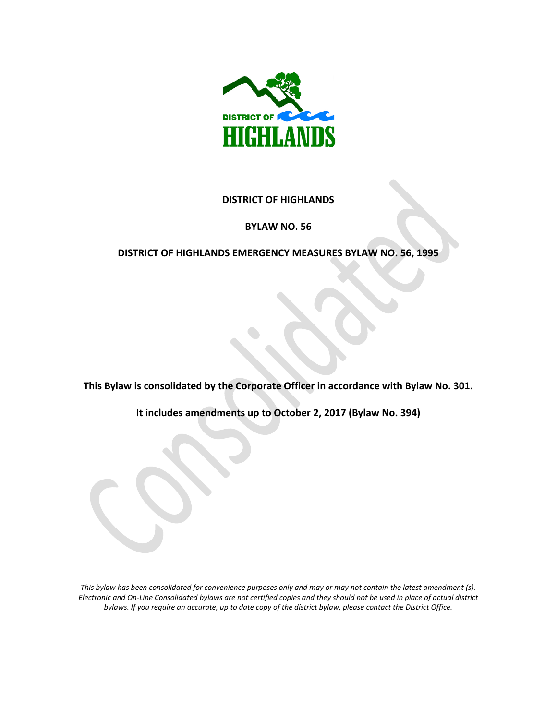

### **DISTRICT OF HIGHLANDS**

#### **BYLAW NO. 56**

### **DISTRICT OF HIGHLANDS EMERGENCY MEASURES BYLAW NO. 56, 1995**

**This Bylaw is consolidated by the Corporate Officer in accordance with Bylaw No. 301.** 

**It includes amendments up to October 2, 2017 (Bylaw No. 394)**

*This bylaw has been consolidated for convenience purposes only and may or may not contain the latest amendment (s). Electronic and On-Line Consolidated bylaws are not certified copies and they should not be used in place of actual district bylaws. If you require an accurate, up to date copy of the district bylaw, please contact the District Office.*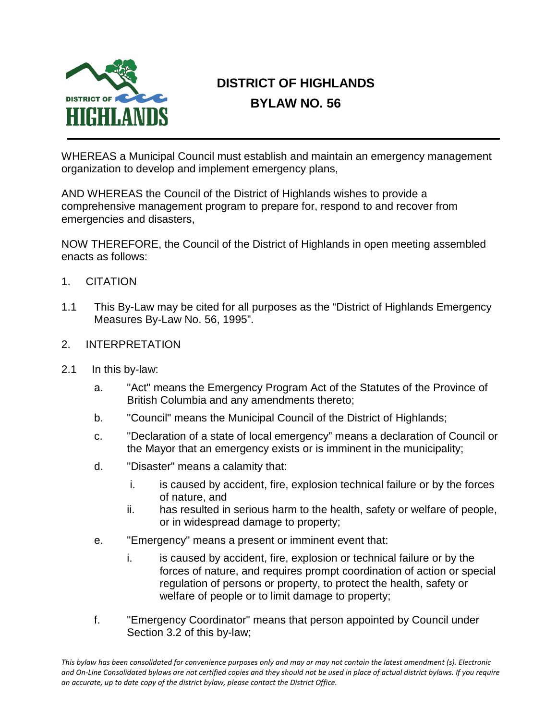

# **DISTRICT OF HIGHLANDS BYLAW NO. 56**

WHEREAS a Municipal Council must establish and maintain an emergency management organization to develop and implement emergency plans,

AND WHEREAS the Council of the District of Highlands wishes to provide a comprehensive management program to prepare for, respond to and recover from emergencies and disasters,

NOW THEREFORE, the Council of the District of Highlands in open meeting assembled enacts as follows:

- 1. CITATION
- 1.1 This By-Law may be cited for all purposes as the "District of Highlands Emergency Measures By-Law No. 56, 1995".
- 2. INTERPRETATION
- 2.1 In this by-law:
	- a. "Act" means the Emergency Program Act of the Statutes of the Province of British Columbia and any amendments thereto;
	- b. "Council" means the Municipal Council of the District of Highlands;
	- c. "Declaration of a state of local emergency" means a declaration of Council or the Mayor that an emergency exists or is imminent in the municipality;
	- d. "Disaster" means a calamity that:
		- i. is caused by accident, fire, explosion technical failure or by the forces of nature, and
		- ii. has resulted in serious harm to the health, safety or welfare of people, or in widespread damage to property;
	- e. "Emergency" means a present or imminent event that:
		- i. is caused by accident, fire, explosion or technical failure or by the forces of nature, and requires prompt coordination of action or special regulation of persons or property, to protect the health, safety or welfare of people or to limit damage to property;
	- f. "Emergency Coordinator" means that person appointed by Council under Section 3.2 of this by-law;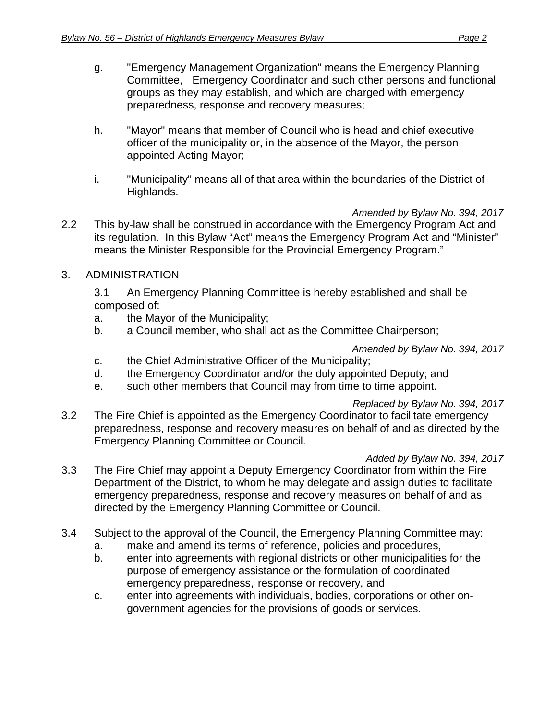- g. "Emergency Management Organization" means the Emergency Planning Committee, Emergency Coordinator and such other persons and functional groups as they may establish, and which are charged with emergency preparedness, response and recovery measures;
- h. "Mayor" means that member of Council who is head and chief executive officer of the municipality or, in the absence of the Mayor, the person appointed Acting Mayor;
- i. "Municipality" means all of that area within the boundaries of the District of Highlands.

*Amended by Bylaw No. 394, 2017*

- 2.2 This by-law shall be construed in accordance with the Emergency Program Act and its regulation. In this Bylaw "Act" means the Emergency Program Act and "Minister" means the Minister Responsible for the Provincial Emergency Program."
- 3. ADMINISTRATION

3.1 An Emergency Planning Committee is hereby established and shall be composed of:

- a. the Mayor of the Municipality;
- b. a Council member, who shall act as the Committee Chairperson;

*Amended by Bylaw No. 394, 2017*

- c. the Chief Administrative Officer of the Municipality;
- d. the Emergency Coordinator and/or the duly appointed Deputy; and
- e. such other members that Council may from time to time appoint.

## *Replaced by Bylaw No. 394, 2017*

3.2 The Fire Chief is appointed as the Emergency Coordinator to facilitate emergency preparedness, response and recovery measures on behalf of and as directed by the Emergency Planning Committee or Council.

### *Added by Bylaw No. 394, 2017*

- 3.3 The Fire Chief may appoint a Deputy Emergency Coordinator from within the Fire Department of the District, to whom he may delegate and assign duties to facilitate emergency preparedness, response and recovery measures on behalf of and as directed by the Emergency Planning Committee or Council.
- 3.4 Subject to the approval of the Council, the Emergency Planning Committee may:
	- a. make and amend its terms of reference, policies and procedures,
	- b. enter into agreements with regional districts or other municipalities for the purpose of emergency assistance or the formulation of coordinated emergency preparedness, response or recovery, and
	- c. enter into agreements with individuals, bodies, corporations or other ongovernment agencies for the provisions of goods or services.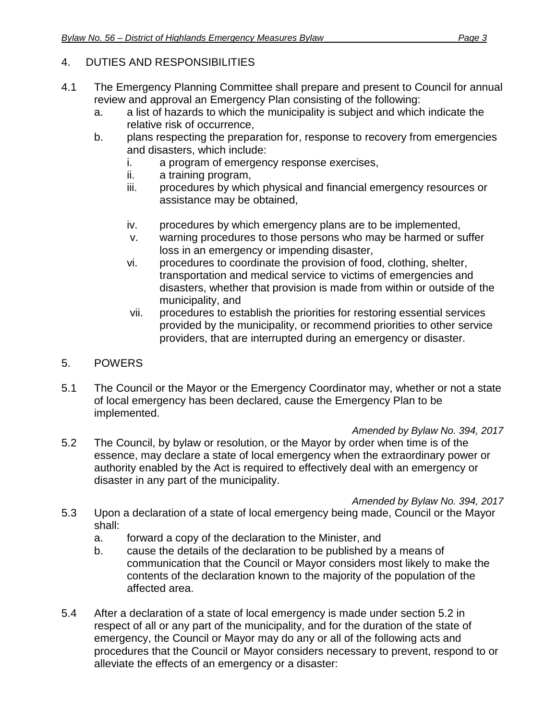## 4. DUTIES AND RESPONSIBILITIES

- 4.1 The Emergency Planning Committee shall prepare and present to Council for annual review and approval an Emergency Plan consisting of the following:
	- a. a list of hazards to which the municipality is subject and which indicate the relative risk of occurrence,
	- b. plans respecting the preparation for, response to recovery from emergencies and disasters, which include:
		- i. a program of emergency response exercises,
		- ii. a training program,
		- iii. procedures by which physical and financial emergency resources or assistance may be obtained,
		- iv. procedures by which emergency plans are to be implemented,
		- v. warning procedures to those persons who may be harmed or suffer loss in an emergency or impending disaster,
		- vi. procedures to coordinate the provision of food, clothing, shelter, transportation and medical service to victims of emergencies and disasters, whether that provision is made from within or outside of the municipality, and
		- vii. procedures to establish the priorities for restoring essential services provided by the municipality, or recommend priorities to other service providers, that are interrupted during an emergency or disaster.
- 5. POWERS
- 5.1 The Council or the Mayor or the Emergency Coordinator may, whether or not a state of local emergency has been declared, cause the Emergency Plan to be implemented.

*Amended by Bylaw No. 394, 2017*

5.2 The Council, by bylaw or resolution, or the Mayor by order when time is of the essence, may declare a state of local emergency when the extraordinary power or authority enabled by the Act is required to effectively deal with an emergency or disaster in any part of the municipality.

*Amended by Bylaw No. 394, 2017*

- 5.3 Upon a declaration of a state of local emergency being made, Council or the Mayor shall:
	- a. forward a copy of the declaration to the Minister, and
	- b. cause the details of the declaration to be published by a means of communication that the Council or Mayor considers most likely to make the contents of the declaration known to the majority of the population of the affected area.
- 5.4 After a declaration of a state of local emergency is made under section 5.2 in respect of all or any part of the municipality, and for the duration of the state of emergency, the Council or Mayor may do any or all of the following acts and procedures that the Council or Mayor considers necessary to prevent, respond to or alleviate the effects of an emergency or a disaster: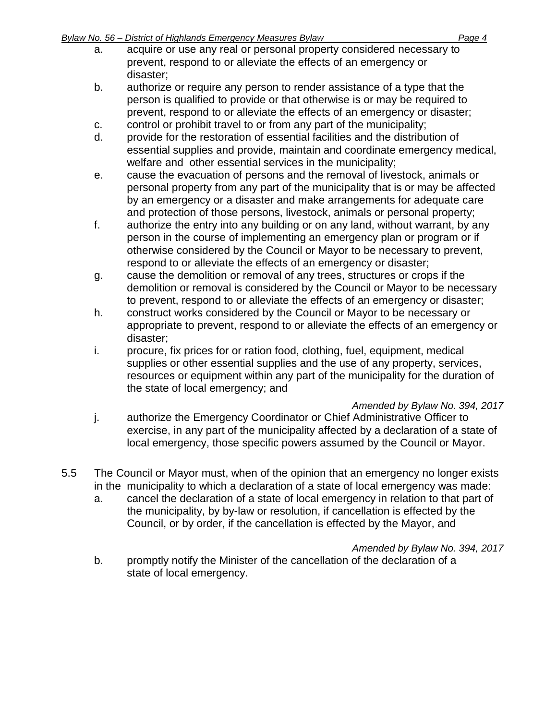- a. acquire or use any real or personal property considered necessary to prevent, respond to or alleviate the effects of an emergency or disaster;
- b. authorize or require any person to render assistance of a type that the person is qualified to provide or that otherwise is or may be required to prevent, respond to or alleviate the effects of an emergency or disaster;
- c. control or prohibit travel to or from any part of the municipality;
- d. provide for the restoration of essential facilities and the distribution of essential supplies and provide, maintain and coordinate emergency medical, welfare and other essential services in the municipality;
- e. cause the evacuation of persons and the removal of livestock, animals or personal property from any part of the municipality that is or may be affected by an emergency or a disaster and make arrangements for adequate care and protection of those persons, livestock, animals or personal property;
- f. authorize the entry into any building or on any land, without warrant, by any person in the course of implementing an emergency plan or program or if otherwise considered by the Council or Mayor to be necessary to prevent, respond to or alleviate the effects of an emergency or disaster;
- g. cause the demolition or removal of any trees, structures or crops if the demolition or removal is considered by the Council or Mayor to be necessary to prevent, respond to or alleviate the effects of an emergency or disaster;
- h. construct works considered by the Council or Mayor to be necessary or appropriate to prevent, respond to or alleviate the effects of an emergency or disaster;
- i. procure, fix prices for or ration food, clothing, fuel, equipment, medical supplies or other essential supplies and the use of any property, services, resources or equipment within any part of the municipality for the duration of the state of local emergency; and

## *Amended by Bylaw No. 394, 2017*

- j. authorize the Emergency Coordinator or Chief Administrative Officer to exercise, in any part of the municipality affected by a declaration of a state of local emergency, those specific powers assumed by the Council or Mayor.
- 5.5 The Council or Mayor must, when of the opinion that an emergency no longer exists in the municipality to which a declaration of a state of local emergency was made:
	- a. cancel the declaration of a state of local emergency in relation to that part of the municipality, by by-law or resolution, if cancellation is effected by the Council, or by order, if the cancellation is effected by the Mayor, and

*Amended by Bylaw No. 394, 2017*

b. promptly notify the Minister of the cancellation of the declaration of a state of local emergency.